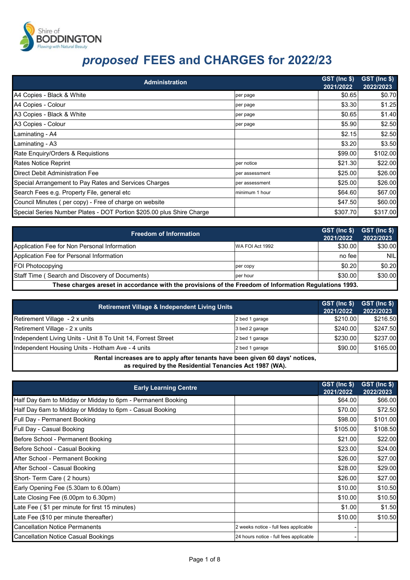

| <b>Administration</b>                                                 |                | GST (Inc \$)<br>2021/2022 | GST (Inc \$)<br>2022/2023 |
|-----------------------------------------------------------------------|----------------|---------------------------|---------------------------|
| A4 Copies - Black & White                                             | per page       | \$0.65                    | \$0.70                    |
| A4 Copies - Colour                                                    | per page       | \$3.30                    | \$1.25                    |
| A3 Copies - Black & White                                             | per page       | \$0.65                    | \$1.40                    |
| A3 Copies - Colour                                                    | per page       | \$5.90                    | \$2.50                    |
| Laminating - A4                                                       |                | \$2.15                    | \$2.50                    |
| Laminating - A3                                                       |                | \$3.20                    | \$3.50                    |
| Rate Enquiry/Orders & Requistions                                     |                | \$99.00                   | \$102.00                  |
| <b>Rates Notice Reprint</b>                                           | per notice     | \$21.30                   | \$22.00                   |
| <b>Direct Debit Administration Fee</b>                                | per assessment | \$25.00                   | \$26.00                   |
| Special Arrangement to Pay Rates and Services Charges                 | per assessment | \$25.00                   | \$26.00                   |
| Search Fees e.g. Property File, general etc                           | minimum 1 hour | \$64.60                   | \$67.00                   |
| Council Minutes (per copy) - Free of charge on website                |                | \$47.50                   | \$60.00                   |
| Special Series Number Plates - DOT Portion \$205.00 plus Shire Charge |                | \$307.70                  | \$317.00                  |

| <b>Freedom of Information</b>                                                                          |                 | GST (Inc \$)<br>2021/2022 | GST (Inc \$)<br>2022/2023 |
|--------------------------------------------------------------------------------------------------------|-----------------|---------------------------|---------------------------|
| Application Fee for Non Personal Information                                                           | WA FOI Act 1992 | \$30.00                   | \$30.00                   |
| Application Fee for Personal Information                                                               |                 | no fee                    | <b>NIL</b>                |
| <b>FOI Photocopying</b>                                                                                | per copy        | \$0.20                    | \$0.20                    |
| Staff Time (Search and Discovery of Documents)                                                         | ber hour        | \$30.00                   | \$30.00                   |
| These charges areset in accordance with the provisions of the Freedom of Information Regulations 1993. |                 |                           |                           |

| Retirement Village & Independent Living Units                                 |                | GST (Inc \$)<br>2021/2022 | GST (Inc \$)<br>2022/2023 |  |
|-------------------------------------------------------------------------------|----------------|---------------------------|---------------------------|--|
| Retirement Village - 2 x units                                                | 2 bed 1 garage | \$210.00                  | \$216.50                  |  |
| Retirement Village - 2 x units                                                | 3 bed 2 garage | \$240.00                  | \$247.50                  |  |
| Independent Living Units - Unit 8 To Unit 14, Forrest Street                  | 2 bed 1 garage | \$230.00                  | \$237.00                  |  |
| Independent Housing Units - Hotham Ave - 4 units                              | 2 bed 1 garage | \$90.00                   | \$165.00                  |  |
| Rental increases are to apply after tenants have been given 60 days' notices, |                |                           |                           |  |

**as required by the Residential Tenancies Act 1987 (WA).**

| <b>Early Learning Centre</b>                                | GST (Inc \$)<br>2021/2022              | GST (Inc \$)<br>2022/2023 |
|-------------------------------------------------------------|----------------------------------------|---------------------------|
| Half Day 6am to Midday or Midday to 6pm - Permanent Booking | \$64.00                                | \$66.00                   |
| Half Day 6am to Midday or Midday to 6pm - Casual Booking    | \$70.00                                | \$72.50                   |
| Full Day - Permanent Booking                                | \$98.00                                | \$101.00                  |
| Full Day - Casual Booking                                   | \$105.00                               | \$108.50                  |
| Before School - Permanent Booking                           | \$21.00                                | \$22.00                   |
| Before School - Casual Booking                              | \$23.00                                | \$24.00                   |
| After School - Permanent Booking                            | \$26.00                                | \$27.00                   |
| After School - Casual Booking                               | \$28.00                                | \$29.00                   |
| Short- Term Care (2 hours)                                  | \$26.00                                | \$27.00                   |
| Early Opening Fee (5.30am to 6.00am)                        | \$10.00                                | \$10.50                   |
| Late Closing Fee (6.00pm to 6.30pm)                         | \$10.00                                | \$10.50                   |
| Late Fee (\$1 per minute for first 15 minutes)              | \$1.00                                 | \$1.50                    |
| Late Fee (\$10 per minute thereafter)                       | \$10.00                                | \$10.50                   |
| <b>Cancellation Notice Permanents</b>                       | 2 weeks notice - full fees applicable  |                           |
| <b>Cancellation Notice Casual Bookings</b>                  | 24 hours notice - full fees applicable |                           |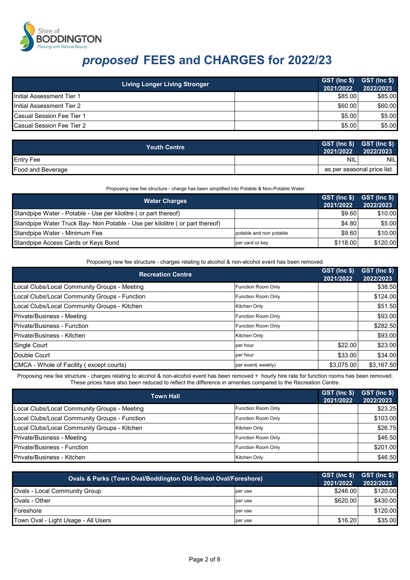

| <b>Living Longer Living Stronger</b> | GST (Inc \$) GST (Inc \$)<br>2021/2022 | 2022/2023 |
|--------------------------------------|----------------------------------------|-----------|
| Initial Assessment Tier 1            | \$85.00                                | \$85.00   |
| Initial Assessment Tier 2            | \$60.00                                | \$60.00   |
| Casual Session Fee Tier 1            | \$5.00                                 | \$5.00    |
| <b>Casual Session Fee Tier 2</b>     | \$5.00                                 | \$5.00    |

| <b>Youth Centre</b> | $GST$ (Inc $$)$ $GST$ (Inc $$)$ )<br>2021/2022 | 2022/2023 |
|---------------------|------------------------------------------------|-----------|
| <b>Entry Fee</b>    | <b>NIL</b>                                     | NIL.      |
| Food and Beverage   | as per seasonal price list                     |           |

Proposing new fee structure - charge has been simplified into Potable & Non-Potable Water

| <b>Water Charges</b>                                                         |                         | $GST$ (Inc $$$ ) $GST$ (Inc $$$ )<br>2021/2022 | 2022/2023 |
|------------------------------------------------------------------------------|-------------------------|------------------------------------------------|-----------|
| Standpipe Water - Potable - Use per kilolitre (or part thereof)              |                         | \$9.60                                         | \$10.00   |
| Standpipe Water Truck Bay- Non Potable - Use per kilolitre (or part thereof) |                         | \$4.80                                         | \$5.00    |
| Standpipe Water - Minimum Fee                                                | potable and non potable | \$9.60                                         | \$10.00   |
| Standpipe Access Cards or Keys Bond                                          | per card or key         | \$118.00                                       | \$120.00  |

Proposing new fee structure - charges relating to alcohol & non-alcohol event has been removed.

| <b>Recreation Centre</b>                      |                    | GST (Inc \$)<br>2021/2022 | GST (Inc \$)<br>2022/2023 |
|-----------------------------------------------|--------------------|---------------------------|---------------------------|
| Local Clubs/Local Community Groups - Meeting  | Function Room Only |                           | \$38.50                   |
| Local Clubs/Local Community Groups - Function | Function Room Only |                           | \$124.00                  |
| Local Clubs/Local Community Groups - Kitchen  | Kitchen Only       |                           | \$51.50                   |
| Private/Business - Meeting                    | Function Room Only |                           | \$93.00                   |
| <b>Private/Business - Function</b>            | Function Room Only |                           | \$282.50                  |
| Private/Business - Kitchen                    | Kitchen Only       |                           | \$93.00                   |
| Single Court                                  | per hour           | \$22.00                   | \$23.00                   |
| Double Court                                  | per hour           | \$33.00                   | \$34.00                   |
| CMCA - Whole of Facility (except courts)      | per event(weekly)  | \$3,075.00                | \$3,167.50                |

Proposing new fee structure - charges relating to alcohol & non-alcohol event has been removed + hourly hire rate for function rooms has been removed. These prices have also been reduced to reflect the difference in amenties compared to the Recreation Centre.

| <b>Town Hall</b>                              |                           | GST (Inc \$)<br>2021/2022 | GST (Inc \$)<br>2022/2023 |
|-----------------------------------------------|---------------------------|---------------------------|---------------------------|
| Local Clubs/Local Community Groups - Meeting  | <b>Function Room Only</b> |                           | \$23.25                   |
| Local Clubs/Local Community Groups - Function | <b>Function Room Only</b> |                           | \$103.00                  |
| Local Clubs/Local Community Groups - Kitchen  | Kitchen Only              |                           | \$26.75                   |
| Private/Business - Meeting                    | <b>Function Room Only</b> |                           | \$46.50                   |
| Private/Business - Function                   | <b>Function Room Only</b> |                           | \$201.00                  |
| Private/Business - Kitchen                    | Kitchen Only              |                           | \$46.50                   |

| Ovals & Parks (Town Oval/Boddington Old School Oval/Foreshore) |         | GST (Inc \$)<br>2021/2022 | GST (Inc \$)<br>2022/2023 |
|----------------------------------------------------------------|---------|---------------------------|---------------------------|
| <b>Ovals - Local Community Group</b>                           | per use | \$248.00                  | \$120.00                  |
| Ovals - Other                                                  | per use | \$620.00                  | \$430.00                  |
| Foreshore                                                      | per use |                           | \$120.00                  |
| Town Oval - Light Usage - All Users                            | ber use | \$16.20                   | \$35.00                   |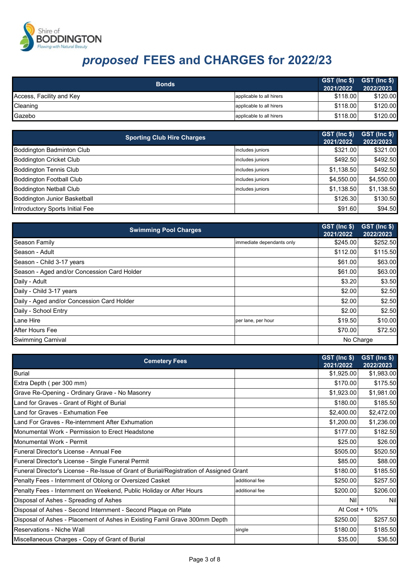

| <b>Bonds</b>             |                          | $ \textsf{GST} \textsf{Inc}\texttt{\$} $ $ \textsf{GST} \textsf{Inc}\texttt{\$} $<br>2021/2022 | 2022/2023 |
|--------------------------|--------------------------|------------------------------------------------------------------------------------------------|-----------|
| Access, Facility and Key | applicable to all hirers | \$118.00                                                                                       | \$120.00  |
| Cleaning                 | applicable to all hirers | \$118.00                                                                                       | \$120.00  |
| Gazebo                   | applicable to all hirers | \$118.00                                                                                       | \$120.00  |

| <b>Sporting Club Hire Charges</b>   |                  | GST (Inc \$)<br>2021/2022 | GST (Inc \$)<br>2022/2023 |
|-------------------------------------|------------------|---------------------------|---------------------------|
| Boddington Badminton Club           | includes juniors | \$321.00                  | \$321.00                  |
| <b>Boddington Cricket Club</b>      | includes juniors | \$492.50                  | \$492.50                  |
| <b>Boddington Tennis Club</b>       | includes juniors | \$1,138.50                | \$492.50                  |
| <b>Boddington Football Club</b>     | includes juniors | \$4,550.00                | \$4,550.00                |
| <b>Boddington Netball Club</b>      | includes juniors | \$1,138.50                | \$1,138.50                |
| <b>Boddington Junior Basketball</b> |                  | \$126.30                  | \$130.50                  |
| Introductory Sports Initial Fee     |                  | \$91.60                   | \$94.50                   |

| <b>Swimming Pool Charges</b>                |                           | GST (Inc \$)<br>2021/2022 | GST (Inc \$)<br>2022/2023 |
|---------------------------------------------|---------------------------|---------------------------|---------------------------|
| <b>Season Family</b>                        | immediate dependants only | \$245.00                  | \$252.50                  |
| Season - Adult                              |                           | \$112.00                  | \$115.50                  |
| Season - Child 3-17 years                   |                           | \$61.00                   | \$63.00                   |
| Season - Aged and/or Concession Card Holder |                           | \$61.00                   | \$63.00                   |
| Daily - Adult                               |                           | \$3.20                    | \$3.50                    |
| Daily - Child 3-17 years                    |                           | \$2.00                    | \$2.50                    |
| Daily - Aged and/or Concession Card Holder  |                           | \$2.00                    | \$2.50                    |
| Daily - School Entry                        |                           | \$2.00                    | \$2.50                    |
| Lane Hire                                   | per lane, per hour        | \$19.50                   | \$10.00                   |
| After Hours Fee                             |                           | \$70.00                   | \$72.50                   |
| <b>Swimming Carnival</b>                    |                           | No Charge                 |                           |

| <b>Cemetery Fees</b>                                                                    |                | GST (Inc \$)<br>2021/2022 | GST (Inc \$)<br>2022/2023 |
|-----------------------------------------------------------------------------------------|----------------|---------------------------|---------------------------|
| <b>Burial</b>                                                                           |                | \$1,925.00                | \$1,983.00                |
| Extra Depth (per 300 mm)                                                                |                | \$170.00                  | \$175.50                  |
| Grave Re-Opening - Ordinary Grave - No Masonry                                          |                | \$1,923.00                | \$1,981.00                |
| Land for Graves - Grant of Right of Burial                                              |                | \$180.00                  | \$185.50                  |
| Land for Graves - Exhumation Fee                                                        |                | \$2,400.00                | \$2,472.00                |
| Land For Graves - Re-internment After Exhumation                                        |                | \$1,200.00                | \$1,236.00                |
| Monumental Work - Permission to Erect Headstone                                         |                | \$177.00                  | \$182.50                  |
| Monumental Work - Permit                                                                |                | \$25.00                   | \$26.00                   |
| Funeral Director's License - Annual Fee                                                 |                | \$505.00                  | \$520.50                  |
| Funeral Director's License - Single Funeral Permit                                      |                | \$85.00                   | \$88.00                   |
| Funeral Director's License - Re-Issue of Grant of Burial/Registration of Assigned Grant |                | \$180.00                  | \$185.50                  |
| Penalty Fees - Internment of Oblong or Oversized Casket                                 | additional fee | \$250.00                  | \$257.50                  |
| Penalty Fees - Internment on Weekend, Public Holiday or After Hours                     | additional fee | \$200.00                  | \$206.00                  |
| Disposal of Ashes - Spreading of Ashes                                                  |                | Nil                       | <b>Nil</b>                |
| Disposal of Ashes - Second Internment - Second Plaque on Plate                          |                | At Cost + 10%             |                           |
| Disposal of Ashes - Placement of Ashes in Existing Famil Grave 300mm Depth              |                | \$250.00                  | \$257.50                  |
| <b>Reservations - Niche Wall</b>                                                        | single         | \$180.00                  | \$185.50                  |
| Miscellaneous Charges - Copy of Grant of Burial                                         |                | \$35.00                   | \$36.50                   |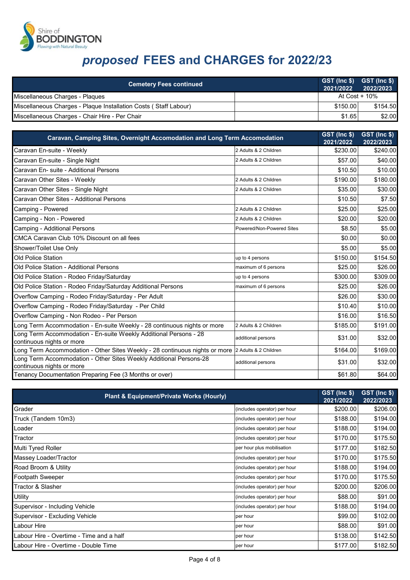

| <b>Cemetery Fees continued</b>                                   | $GST$ (lnc $$)$ $GST$ (lnc $$)$ )<br>2021/2022 | 2022/2023 |
|------------------------------------------------------------------|------------------------------------------------|-----------|
| Miscellaneous Charges - Plagues                                  | At Cost + $10\%$                               |           |
| Miscellaneous Charges - Plaque Installation Costs (Staff Labour) | \$150.00                                       | \$154.50  |
| Miscellaneous Charges - Chair Hire - Per Chair                   | \$1.65                                         | \$2.00    |

| Caravan, Camping Sites, Overnight Accomodation and Long Term Accomodation                         |                           | <b>GST (Inc \$)</b><br>2021/2022 | GST (Inc \$)<br>2022/2023 |
|---------------------------------------------------------------------------------------------------|---------------------------|----------------------------------|---------------------------|
| Caravan En-suite - Weekly                                                                         | 2 Adults & 2 Children     | \$230.00                         | \$240.00                  |
| Caravan En-suite - Single Night                                                                   | 2 Adults & 2 Children     | \$57.00                          | \$40.00                   |
| Caravan En- suite - Additional Persons                                                            |                           | \$10.50                          | \$10.00                   |
| Caravan Other Sites - Weekly                                                                      | 2 Adults & 2 Children     | \$190.00                         | \$180.00                  |
| Caravan Other Sites - Single Night                                                                | 2 Adults & 2 Children     | \$35.00                          | \$30.00                   |
| Caravan Other Sites - Additional Persons                                                          |                           | \$10.50                          | \$7.50                    |
| Camping - Powered                                                                                 | 2 Adults & 2 Children     | \$25.00                          | \$25.00                   |
| Camping - Non - Powered                                                                           | 2 Adults & 2 Children     | \$20.00                          | \$20.00                   |
| Camping - Additional Persons                                                                      | Powered/Non-Powered Sites | \$8.50                           | \$5.00                    |
| CMCA Caravan Club 10% Discount on all fees                                                        |                           | \$0.00                           | \$0.00                    |
| Shower/Toilet Use Only                                                                            |                           | \$5.00                           | \$5.00                    |
| Old Police Station                                                                                | up to 4 persons           | \$150.00                         | \$154.50                  |
| Old Police Station - Additional Persons                                                           | maximum of 6 persons      | \$25.00                          | \$26.00                   |
| Old Police Station - Rodeo Friday/Saturday                                                        | up to 4 persons           | \$300.00                         | \$309.00                  |
| Old Police Station - Rodeo Friday/Saturday Additional Persons                                     | maximum of 6 persons      | \$25.00                          | \$26.00                   |
| Overflow Camping - Rodeo Friday/Saturday - Per Adult                                              |                           | \$26.00                          | \$30.00                   |
| Overflow Camping - Rodeo Friday/Saturday - Per Child                                              |                           | \$10.40                          | \$10.00                   |
| Overflow Camping - Non Rodeo - Per Person                                                         |                           | \$16.00                          | \$16.50                   |
| Long Term Accommodation - En-suite Weekly - 28 continuous nights or more                          | 2 Adults & 2 Children     | \$185.00                         | \$191.00                  |
| Long Term Accommodation - En-suite Weekly Additional Persons - 28<br>continuous nights or more    | additional persons        | \$31.00                          | \$32.00                   |
| Long Term Accommodation - Other Sites Weekly - 28 continuous nights or more 2 Adults & 2 Children |                           | \$164.00                         | \$169.00                  |
| Long Term Accommodation - Other Sites Weekly Additional Persons-28<br>continuous nights or more   | additional persons        | \$31.00                          | \$32.00                   |
| Tenancy Documentation Preparing Fee (3 Months or over)                                            |                           | \$61.80                          | \$64.00                   |

| Plant & Equipment/Private Works (Hourly) |                              | GST (Inc \$)<br>2021/2022 | GST (Inc \$)<br>2022/2023 |
|------------------------------------------|------------------------------|---------------------------|---------------------------|
| Grader                                   | (includes operator) per hour | \$200.00                  | \$206.00                  |
| Truck (Tandem 10m3)                      | (includes operator) per hour | \$188.00                  | \$194.00                  |
| Loader                                   | (includes operator) per hour | \$188.00                  | \$194.00                  |
| Tractor                                  | (includes operator) per hour | \$170.00                  | \$175.50                  |
| Multi Tyred Roller                       | per hour plus mobilisation   | \$177.00                  | \$182.50                  |
| Massey Loader/Tractor                    | (includes operator) per hour | \$170.00                  | \$175.50                  |
| Road Broom & Utility                     | (includes operator) per hour | \$188.00                  | \$194.00                  |
| <b>Footpath Sweeper</b>                  | (includes operator) per hour | \$170.00                  | \$175.50                  |
| Tractor & Slasher                        | (includes operator) per hour | \$200.00                  | \$206.00                  |
| <b>Utility</b>                           | (includes operator) per hour | \$88.00                   | \$91.00                   |
| Supervisor - Including Vehicle           | (includes operator) per hour | \$188.00                  | \$194.00                  |
| Supervisor - Excluding Vehicle           | per hour                     | \$99.00                   | \$102.00                  |
| Labour Hire                              | per hour                     | \$88.00                   | \$91.00                   |
| Labour Hire - Overtime - Time and a half | per hour                     | \$138.00                  | \$142.50                  |
| Labour Hire - Overtime - Double Time     | per hour                     | \$177.00                  | \$182.50                  |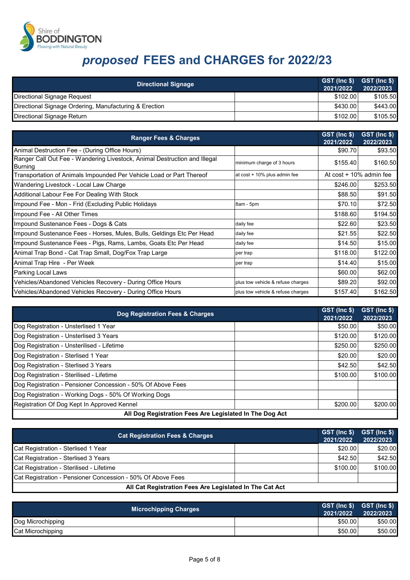

| <b>Directional Signage</b>                             | 2021/2022 | GST (Inc \$) GST (Inc \$)<br>2022/2023 |
|--------------------------------------------------------|-----------|----------------------------------------|
| Directional Signage Request                            | \$102.00  | \$105.50                               |
| Directional Signage Ordering, Manufacturing & Erection | \$430.00  | \$443.00                               |
| Directional Signage Return                             | \$102.00  | \$105.50                               |

| <b>Ranger Fees &amp; Charges</b>                                                            |                                   | GST (Inc \$)<br>2021/2022 | GST (Inc \$)<br>2022/2023  |
|---------------------------------------------------------------------------------------------|-----------------------------------|---------------------------|----------------------------|
| Animal Destruction Fee - (During Office Hours)                                              |                                   | \$90.70                   | \$93.50                    |
| Ranger Call Out Fee - Wandering Livestock, Animal Destruction and Illegal<br><b>Burning</b> | minimum charge of 3 hours         | \$155.40                  | \$160.50                   |
| Transportation of Animals Impounded Per Vehicle Load or Part Thereof                        | at cost + 10% plus admin fee      |                           | At $cost + 10\%$ admin fee |
| Wandering Livestock - Local Law Charge                                                      |                                   | \$246.00                  | \$253.50                   |
| Additional Labour Fee For Dealing With Stock                                                |                                   | \$88.50                   | \$91.50                    |
| Impound Fee - Mon - Frid (Excluding Public Holidays                                         | 8am - 5pm                         | \$70.10                   | \$72.50                    |
| Impound Fee - All Other Times                                                               |                                   | \$188.60                  | \$194.50                   |
| Impound Sustenance Fees - Dogs & Cats                                                       | daily fee                         | \$22.60                   | \$23.50                    |
| Impound Sustenance Fees - Horses, Mules, Bulls, Geldings Etc Per Head                       | daily fee                         | \$21.55                   | \$22.50                    |
| Impound Sustenance Fees - Pigs, Rams, Lambs, Goats Etc Per Head                             | daily fee                         | \$14.50                   | \$15.00                    |
| Animal Trap Bond - Cat Trap Small, Dog/Fox Trap Large                                       | per trap                          | \$118.00                  | \$122.00                   |
| Animal Trap Hire - Per Week                                                                 | per trap                          | \$14.40                   | \$15.00                    |
| Parking Local Laws                                                                          |                                   | \$60.00                   | \$62.00                    |
| Vehicles/Abandoned Vehicles Recovery - During Office Hours                                  | plus tow vehicle & refuse charges | \$89.20                   | \$92.00                    |
| Vehicles/Abandoned Vehicles Recovery - During Office Hours                                  | plus tow vehicle & refuse charges | \$157.40                  | \$162.50                   |

| Dog Registration Fees & Charges                             | GST (Inc \$)<br>2021/2022 | $ \textsf{GST}\rangle$ (Inc \$)<br>2022/2023 |
|-------------------------------------------------------------|---------------------------|----------------------------------------------|
| Dog Registration - Unsterlised 1 Year                       | \$50.00                   | \$50.00                                      |
| Dog Registration - Unsterlised 3 Years                      | \$120.00                  | \$120.00                                     |
| Dog Registration - Unsterilised - Lifetime                  | \$250.00                  | \$250.00                                     |
| Dog Registration - Sterlised 1 Year                         | \$20.00                   | \$20.00                                      |
| Dog Registration - Sterlised 3 Years                        | \$42.50                   | \$42.50                                      |
| Dog Registration - Sterilised - Lifetime                    | \$100.00                  | \$100.00                                     |
| Dog Registration - Pensioner Concession - 50% Of Above Fees |                           |                                              |
| Dog Registration - Working Dogs - 50% Of Working Dogs       |                           |                                              |
| Registration Of Dog Kept In Approved Kennel                 | \$200.00                  | \$200.00                                     |
| All Dog Registration Fees Are Legislated In The Dog Act     |                           |                                              |

| <b>Cat Registration Fees &amp; Charges</b>                  | 2021/2022 | GST (Inc \$) GST (Inc \$)<br>2022/2023 |
|-------------------------------------------------------------|-----------|----------------------------------------|
| Cat Registration - Sterlised 1 Year                         | \$20.00   | \$20.00                                |
| Cat Registration - Sterlised 3 Years                        | \$42.50   | \$42.50                                |
| Cat Registration - Sterilised - Lifetime                    | \$100.00  | \$100.00                               |
| Cat Registration - Pensioner Concession - 50% Of Above Fees |           |                                        |
| All Cat Registration Fees Are Legislated In The Cat Act     |           |                                        |

| <b>Microchipping Charges</b> | 2021/2022 | $GST$ (lnc $$)$ $GST$ (lnc $$)$<br>2022/2023 |
|------------------------------|-----------|----------------------------------------------|
| Dog Microchipping            | \$50.00   | \$50.00                                      |
| Cat Microchipping            | \$50.00   | \$50.00                                      |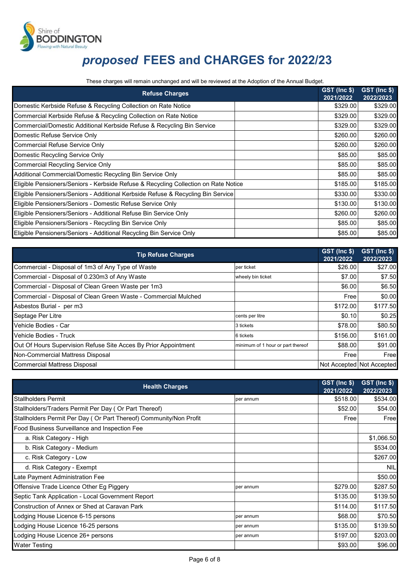

These charges will remain unchanged and will be reviewed at the Adoption of the Annual Budget.

| <b>Refuse Charges</b>                                                               | GST (Inc \$)<br>2021/2022 | GST (Inc \$)<br>2022/2023 |
|-------------------------------------------------------------------------------------|---------------------------|---------------------------|
| Domestic Kerbside Refuse & Recycling Collection on Rate Notice                      | \$329.00                  | \$329.00                  |
| Commercial Kerbside Refuse & Recycling Collection on Rate Notice                    | \$329.00                  | \$329.00                  |
| Commercial/Domestic Additional Kerbside Refuse & Recycling Bin Service              | \$329.00                  | \$329.00                  |
| Domestic Refuse Service Only                                                        | \$260.00                  | \$260.00                  |
| <b>Commercial Refuse Service Only</b>                                               | \$260.00                  | \$260.00                  |
| Domestic Recycling Service Only                                                     | \$85.00                   | \$85.00                   |
| <b>Commercial Recycling Service Only</b>                                            | \$85.00                   | \$85.00                   |
| Additional Commercial/Domestic Recycling Bin Service Only                           | \$85.00                   | \$85.00                   |
| Eligible Pensioners/Seniors - Kerbside Refuse & Recycling Collection on Rate Notice | \$185.00                  | \$185.00                  |
| Eligible Pensioners/Seniors - Additional Kerbside Refuse & Recycling Bin Service    | \$330.00                  | \$330.00                  |
| Eligible Pensioners/Seniors - Domestic Refuse Service Only                          | \$130.00                  | \$130.00                  |
| Eligible Pensioners/Seniors - Additional Refuse Bin Service Only                    | \$260.00                  | \$260.00                  |
| Eligible Pensioners/Seniors - Recycling Bin Service Only                            | \$85.00                   | \$85.00                   |
| Eligible Pensioners/Seniors - Additional Recycling Bin Service Only                 | \$85.00                   | \$85.00                   |

| <b>Tip Refuse Charges</b>                                       |                                   | GST (Inc \$)<br>2021/2022 | GST (Inc \$)<br>2022/2023 |
|-----------------------------------------------------------------|-----------------------------------|---------------------------|---------------------------|
| Commercial - Disposal of 1m3 of Any Type of Waste               | per ticket                        | \$26.00                   | \$27.00                   |
| Commercial - Disposal of 0.230m3 of Any Waste                   | wheely bin ticket                 | \$7.00                    | \$7.50                    |
| Commercial - Disposal of Clean Green Waste per 1m3              |                                   | \$6.00                    | \$6.50                    |
| Commercial - Disposal of Clean Green Waste - Commercial Mulched |                                   | Free                      | \$0.00                    |
| Asbestos Burial - per m3                                        |                                   | \$172.00                  | \$177.50                  |
| Septage Per Litre                                               | cents per litre                   | \$0.10                    | \$0.25                    |
| Vehicle Bodies - Car                                            | 3 tickets                         | \$78.00                   | \$80.50                   |
| Vehicle Bodies - Truck                                          | 6 tickets                         | \$156.00                  | \$161.00                  |
| Out Of Hours Supervision Refuse Site Acces By Prior Appointment | minimum of 1 hour or part thereof | \$88.00                   | \$91.00                   |
| Non-Commercial Mattress Disposal                                |                                   | Free                      | Free                      |
| <b>Commercial Mattress Disposal</b>                             |                                   |                           | Not Accepted Not Accepted |

| <b>Health Charges</b>                                              |           | GST (Inc \$)<br>2021/2022 | GST (Inc \$)<br>2022/2023 |
|--------------------------------------------------------------------|-----------|---------------------------|---------------------------|
| <b>Stallholders Permit</b>                                         | per annum | \$518.00                  | \$534.00                  |
| Stallholders/Traders Permit Per Day (Or Part Thereof)              |           | \$52.00                   | \$54.00                   |
| Stallholders Permit Per Day (Or Part Thereof) Community/Non Profit |           | Free                      | Free                      |
| Food Business Surveillance and Inspection Fee                      |           |                           |                           |
| a. Risk Category - High                                            |           |                           | \$1,066.50                |
| b. Risk Category - Medium                                          |           |                           | \$534.00                  |
| c. Risk Category - Low                                             |           |                           | \$267.00                  |
| d. Risk Category - Exempt                                          |           |                           | <b>NIL</b>                |
| Late Payment Administration Fee                                    |           |                           | \$50.00                   |
| Offensive Trade Licence Other Eg Piggery                           | per annum | \$279.00                  | \$287.50                  |
| Septic Tank Application - Local Government Report                  |           | \$135.00                  | \$139.50                  |
| Construction of Annex or Shed at Caravan Park                      |           | \$114.00                  | \$117.50                  |
| Lodging House Licence 6-15 persons                                 | per annum | \$68.00                   | \$70.50                   |
| Lodging House Licence 16-25 persons                                | per annum | \$135.00                  | \$139.50                  |
| Lodging House Licence 26+ persons                                  | ber annum | \$197.00                  | \$203.00                  |
| <b>Water Testing</b>                                               |           | \$93.00                   | \$96.00                   |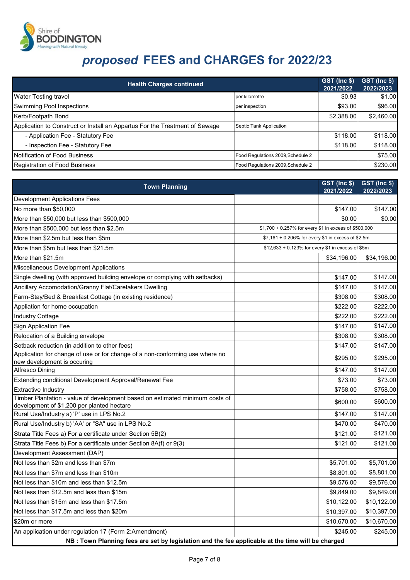

| <b>Health Charges continued</b>                                             |                                   | GST (Inc \$)<br>2021/2022 | GST (Inc \$)<br>2022/2023 |
|-----------------------------------------------------------------------------|-----------------------------------|---------------------------|---------------------------|
| <b>Water Testing travel</b>                                                 | per kilometre                     | \$0.93                    | \$1.00                    |
| Swimming Pool Inspections                                                   | per inspection                    | \$93.00                   | \$96.00                   |
| Kerb/Footpath Bond                                                          |                                   | \$2,388.00                | \$2,460.00                |
| Application to Construct or Install an Appartus For the Treatment of Sewage | Septic Tank Application           |                           |                           |
| - Application Fee - Statutory Fee                                           |                                   | \$118.00                  | \$118.00                  |
| - Inspection Fee - Statutory Fee                                            |                                   | \$118.00                  | \$118.00                  |
| Notification of Food Business                                               | Food Regulations 2009, Schedule 2 |                           | \$75.00                   |
| <b>Registration of Food Business</b>                                        | Food Regulations 2009, Schedule 2 |                           | \$230.00                  |

| <b>Town Planning</b>                                                                                                       |                                                       | GST (Inc \$)<br>2021/2022 | GST (Inc \$)<br>2022/2023 |
|----------------------------------------------------------------------------------------------------------------------------|-------------------------------------------------------|---------------------------|---------------------------|
| <b>Development Applications Fees</b>                                                                                       |                                                       |                           |                           |
| No more than \$50,000                                                                                                      |                                                       | \$147.00                  | \$147.00                  |
| More than \$50,000 but less than \$500,000                                                                                 |                                                       | \$0.00                    | \$0.00                    |
| More than \$500,000 but less than \$2.5m                                                                                   | \$1,700 + 0.257% for every \$1 in excess of \$500,000 |                           |                           |
| More than \$2.5m but less than \$5m                                                                                        | \$7,161 + 0.206% for every \$1 in excess of \$2.5m    |                           |                           |
| More than \$5m but less than \$21.5m                                                                                       | \$12,633 + 0.123% for every \$1 in excess of \$5m     |                           |                           |
| More than \$21.5m                                                                                                          |                                                       | \$34,196.00               | \$34,196.00               |
| Miscellaneous Development Applications                                                                                     |                                                       |                           |                           |
| Single dwelling (with approved building envelope or complying with setbacks)                                               |                                                       | \$147.00                  | \$147.00                  |
| Ancillary Accomodation/Granny Flat/Caretakers Dwelling                                                                     |                                                       | \$147.00                  | \$147.00                  |
| Farm-Stay/Bed & Breakfast Cottage (in existing residence)                                                                  |                                                       | \$308.00                  | \$308.00                  |
| Appliation for home occupation                                                                                             |                                                       | \$222.00                  | \$222.00                  |
| Industry Cottage                                                                                                           |                                                       | \$222.00                  | \$222.00                  |
| Sign Application Fee                                                                                                       |                                                       | \$147.00                  | \$147.00                  |
| Relocation of a Building envelope                                                                                          |                                                       | \$308.00                  | \$308.00                  |
| Setback reduction (in addition to other fees)                                                                              |                                                       | \$147.00                  | \$147.00                  |
| Application for change of use or for change of a non-conforming use where no                                               |                                                       | \$295.00                  | \$295.00                  |
| new development is occuring                                                                                                |                                                       |                           |                           |
| Alfresco Dining                                                                                                            |                                                       | \$147.00                  | \$147.00                  |
| Extending conditional Development Approval/Renewal Fee                                                                     |                                                       | \$73.00                   | \$73.00                   |
| <b>Extractive Industry</b>                                                                                                 |                                                       | \$758.00                  | \$758.00                  |
| Timber Plantation - value of development based on estimated minimum costs of<br>development of \$1,200 per planted hectare |                                                       | \$600.00                  | \$600.00                  |
| Rural Use/Industry a) 'P' use in LPS No.2                                                                                  |                                                       | \$147.00                  | \$147.00                  |
| Rural Use/Industry b) 'AA' or "SA" use in LPS No.2                                                                         |                                                       | \$470.00                  | \$470.00                  |
| Strata Title Fees a) For a certificate under Section 5B(2)                                                                 |                                                       | \$121.00                  | \$121.00                  |
| Strata Title Fees b) For a certificate under Section 8A(f) or 9(3)                                                         |                                                       | \$121.00                  | \$121.00                  |
| Development Assessment (DAP)                                                                                               |                                                       |                           |                           |
| Not less than \$2m and less than \$7m                                                                                      |                                                       | \$5,701.00                | \$5,701.00                |
| Not less than \$7m and less than \$10m                                                                                     |                                                       | \$8,801.00                | \$8,801.00                |
| Not less than \$10m and less than \$12.5m                                                                                  |                                                       | \$9,576.00                | \$9,576.00                |
| Not less than \$12.5m and less than \$15m                                                                                  |                                                       | \$9,849.00                | \$9,849.00                |
| Not less than \$15m and less than \$17.5m                                                                                  |                                                       | \$10,122.00               | \$10,122.00               |
| Not less than \$17.5m and less than \$20m                                                                                  |                                                       | \$10,397.00               | \$10,397.00               |
| \$20m or more                                                                                                              |                                                       | \$10,670.00               | \$10,670.00               |
| An application under regulation 17 (Form 2:Amendment)                                                                      |                                                       | \$245.00                  | \$245.00                  |
| NB : Town Planning fees are set by legislation and the fee applicable at the time will be charged                          |                                                       |                           |                           |
|                                                                                                                            |                                                       |                           |                           |